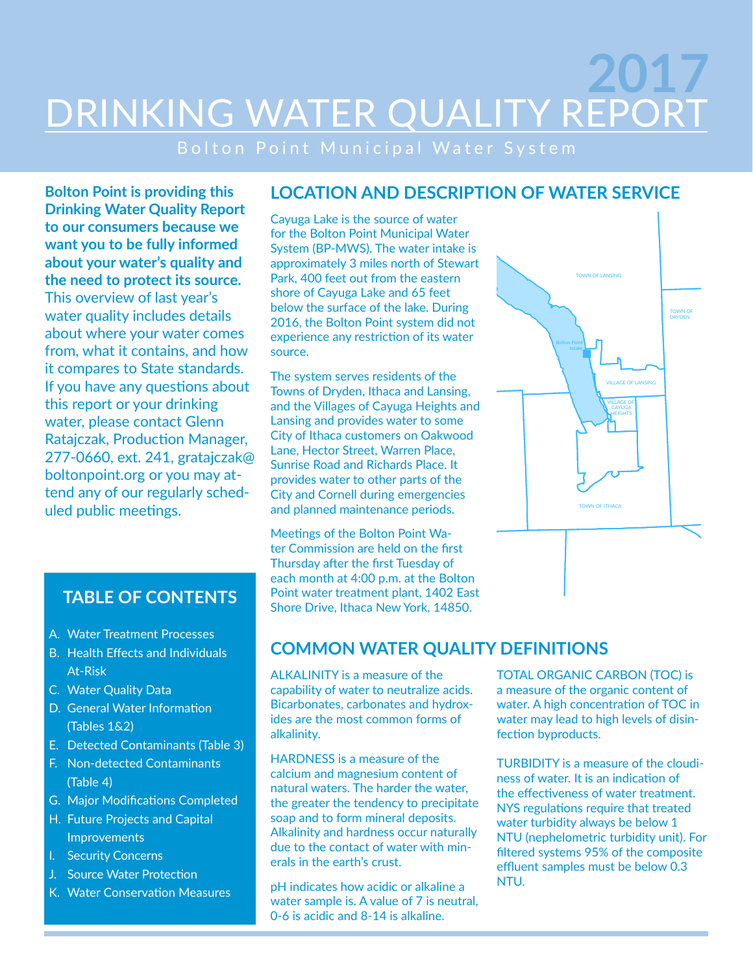# DRINKING WATER QUALITY REPORT **2017**

Bolton Point Municipal Water System

**Bolton Point is providing this Drinking Water Quality Report to our consumers because we want you to be fully informed about your water's quality and the need to protect its source.** This overview of last year's water quality includes details about where your water comes from, what it contains, and how it compares to State standards. If you have any questions about this report or your drinking water, please contact Glenn Ratajczak, Production Manager, 277-0660, ext. 241, gratajczak@ boltonpoint.org or you may attend any of our regularly scheduled public meetings.

- A. Water Treatment Processes
- B. Health Effects and Individuals At-Risk
- C. Water Quality Data
- D. General Water Information (Tables 1&2)
- E. Detected Contaminants (Table 3)
- F. Non-detected Contaminants (Table 4)
- G. Major Modifications Completed
- H. Future Projects and Capital Improvements
- I. Security Concerns
- J. Source Water Protection
- K. Water Conservation Measures

### **LOCATION AND DESCRIPTION OF WATER SERVICE**

Cayuga Lake is the source of water for the Bolton Point Municipal Water System (BP-MWS). The water intake is approximately 3 miles north of Stewart Park, 400 feet out from the eastern shore of Cayuga Lake and 65 feet below the surface of the lake. During 2016, the Bolton Point system did not experience any restriction of its water source.

The system serves residents of the Towns of Dryden, Ithaca and Lansing, and the Villages of Cayuga Heights and Lansing and provides water to some City of Ithaca customers on Oakwood Lane, Hector Street, Warren Place, Sunrise Road and Richards Place. It provides water to other parts of the City and Cornell during emergencies and planned maintenance periods.

Meetings of the Bolton Point Water Commission are held on the first Thursday after the first Tuesday of each month at 4:00 p.m. at the Bolton Point water treatment plant, 1402 East **TABLE OF CONTENTS** Point water treatment plant, 1402 Eas<br>Shore Drive, Ithaca New York, 14850.



## **COMMON WATER QUALITY DEFINITIONS**

ALKALINITY is a measure of the capability of water to neutralize acids. Bicarbonates, carbonates and hydroxides are the most common forms of alkalinity.

HARDNESS is a measure of the calcium and magnesium content of natural waters. The harder the water, the greater the tendency to precipitate soap and to form mineral deposits. Alkalinity and hardness occur naturally due to the contact of water with minerals in the earth's crust.

pH indicates how acidic or alkaline a water sample is. A value of 7 is neutral, 0-6 is acidic and 8-14 is alkaline.

TOTAL ORGANIC CARBON (TOC) is a measure of the organic content of water. A high concentration of TOC in water may lead to high levels of disinfection byproducts.

TURBIDITY is a measure of the cloudiness of water. It is an indication of the effectiveness of water treatment. NYS regulations require that treated water turbidity always be below 1 NTU (nephelometric turbidity unit). For filtered systems 95% of the composite effluent samples must be below 0.3 NTU.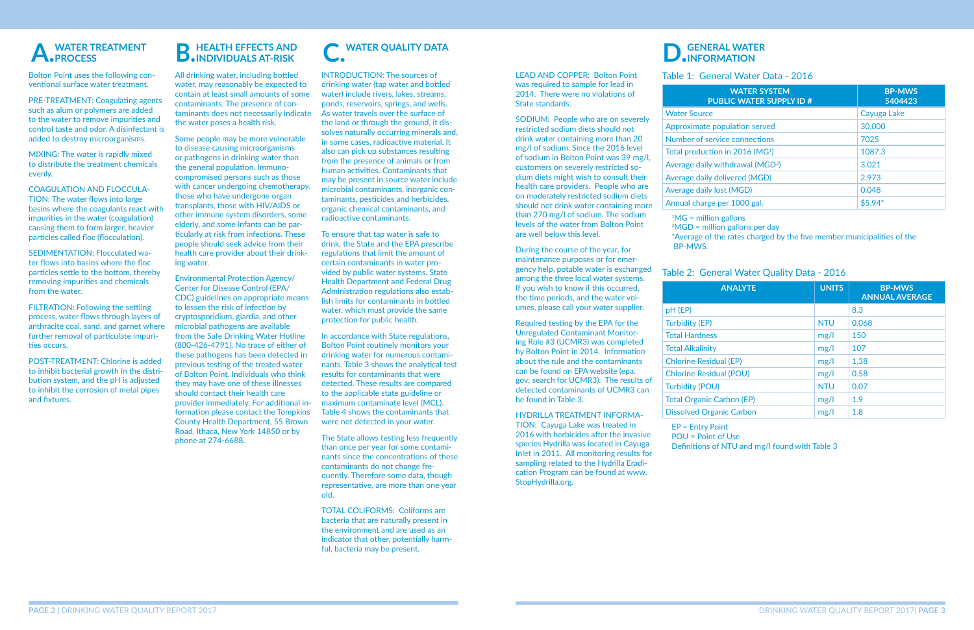Bolton Point uses the following conventional surface water treatment.

PRE-TREATMENT: Coagulating agents such as alum or polymers are added to the water to remove impurities and control taste and odor. A disinfectant is added to destroy microorganisms.

MIXING: The water is rapidly mixed to distribute the treatment chemicals evenly.

COAGULATION AND FLOCCULA-

TION: The water flows into large basins where the coagulants react with impurities in the water (coagulation) causing them to form larger, heavier particles called floc (flocculation).

SEDIMENTATION: Flocculated water flows into basins where the floc particles settle to the bottom, thereby removing impurities and chemicals from the water.

FILTRATION: Following the settling process, water flows through layers of anthracite coal, sand, and garnet where further removal of particulate impurities occurs.

POST-TREATMENT: Chlorine is added to inhibit bacterial growth in the distribution system, and the pH is adjusted to inhibit the corrosion of metal pipes and fixtures.

INTRODUCTION: The sources of drinking water (tap water and bottled water) include rivers, lakes, streams, ponds, reservoirs, springs, and wells. As water travels over the surface of the land or through the ground, it dissolves naturally occurring minerals and, in some cases, radioactive material. It also can pick up substances resulting from the presence of animals or from human activities. Contaminants that may be present in source water include microbial contaminants, inorganic contaminants, pesticides and herbicides, organic chemical contaminants, and radioactive contaminants.

To ensure that tap water is safe to drink, the State and the EPA prescribe regulations that limit the amount of certain contaminants in water provided by public water systems. State Health Department and Federal Drug Administration regulations also establish limits for contaminants in bottled water, which must provide the same protection for public health.

## **C. WATER QUALITY DATA B.** HEALTH EFFECTS AND **C.** WATER QUALITY DATA **D. GENERAL WATER**

In accordance with State regulations, Bolton Point routinely monitors your drinking water for numerous contaminants. Table 3 shows the analytical test results for contaminants that were detected. These results are compared to the applicable state guideline or maximum contaminate level (MCL). Table 4 shows the contaminants that were not detected in your water.

The State allows testing less frequently than once per year for some contaminants since the concentrations of these contaminants do not change frequently. Therefore some data, though representative, are more than one year old.

TOTAL COLIFORMS: Coliforms are bacteria that are naturally present in the environment and are used as an indicator that other, potentially harmful, bacteria may be present.

#### LEAD AND COPPER: Bolton Point was required to sample for lead in 2014. There were no violations of State standards.

SODIUM: People who are on severely restricted sodium diets should not drink water containing more than 20 mg/l of sodium. Since the 2016 level of sodium in Bolton Point was 39 mg/l, customers on severely restricted sodium diets might wish to consult their health care providers. People who are on moderately restricted sodium diets should not drink water containing more than 270 mg/l of sodium. The sodium levels of the water from Bolton Point are well below this level.

 $1\text{MG}$  = million gallons BP-MWS.

 $pH$  (EP) Turbidity (EP) **Total Hardness Total Alkalinity Chlorine Resid Chlorine Residual Turbidity (POL** Total Organic ( Dissolved Orga

During the course of the year, for maintenance purposes or for emergency help, potable water is exchanged among the three local water systems. If you wish to know if this occurred, the time periods, and the water volumes, please call your water supplier.

Required testing by the EPA for the Unregulated Contaminant Monitoring Rule #3 (UCMR3) was completed by Bolton Point in 2014. Information about the rule and the contaminants can be found on EPA website (epa. gov; search for UCMR3). The results of detected contaminants of UCMR3 can be found in Table 3.

HYDRILLA TREATMENT INFORMA-TION: Cayuga Lake was treated in 2016 with herbicides after the invasive species Hydrilla was located in Cayuga Inlet in 2011. All monitoring results for sampling related to the Hydrilla Eradication Program can be found at [www.](www.StopHydrilla.org) [StopHydrilla.org.](www.StopHydrilla.org)

# **INFORMATION**

Water Source Approximate p Number of ser Total production Average daily v Average daily d Average daily I Annual charge

All drinking water, including bottled water, may reasonably be expected to contain at least small amounts of some contaminants. The presence of contaminants does not necessarily indicate the water poses a health risk.

Some people may be more vulnerable to disease causing microorganisms or pathogens in drinking water than the general population. Immunocompromised persons such as those with cancer undergoing chemotherapy, those who have undergone organ transplants, those with HIV/AIDS or other immune system disorders, some elderly, and some infants can be particularly at risk from infections. These people should seek advice from their health care provider about their drinking water.

Environmental Protection Agency/ Center for Disease Control (EPA/ CDC) guidelines on appropriate means to lessen the risk of infection by cryptosporidium, giardia, and other microbial pathogens are available from the Safe Drinking Water Hotline (800-426-4791). No trace of either of these pathogens has been detected in previous testing of the treated water of Bolton Point. Individuals who think they may have one of these illnesses should contact their health care provider immediately. For additional information please contact the Tompkins County Health Department, 55 Brown Road, Ithaca, New York 14850 or by phone at 274-6688.

| <b>WATER SYSTEM</b><br><b>PUBLIC WATER SUPPLY ID #</b> | <b>BP-MWS</b><br>5404423 |
|--------------------------------------------------------|--------------------------|
| e:                                                     | Cayuga Lake              |
| e population served                                    | 30,000                   |
| ervice connections                                     | 7025                     |
| tion in 2016 (MG <sup>1</sup> )                        | 1087.3                   |
| y withdrawal (MGD <sup>2</sup> )                       | 3.021                    |
| y delivered (MGD)                                      | 2.973                    |
| y lost (MGD)                                           | 0.048                    |
| ge per 1000 gal.                                       | $$5.94*$                 |

 $2MGD =$  million gallons per day

| <b>ANALYTE</b> | <b>UNITS</b> | <b>BP-MWS</b><br><b>ANNUAL AVERAGE</b> |
|----------------|--------------|----------------------------------------|
|                |              | 8.3                                    |
|                | <b>NTU</b>   | 0.068                                  |
|                | mg/l         | 150                                    |
|                | mg/l         | 107                                    |
| ual (EP)       | mg/l         | 1.38                                   |
| ual (POU)      | mg/l         | 0.58                                   |
| I)             | <b>NTU</b>   | 0.07                                   |
| Carbon (EP)    | mg/l         | 1.9                                    |
| anic Carbon    | mg/l         | 1.8                                    |

#### Table 2: General Water Quality Data - 2016

#### Table 1: General Water Data - 2016

\*Average of the rates charged by the five member municipalities of the

EP = Entry Point POU = Point of Use

Definitions of NTU and mg/l found with Table 3

### **A. WATER TREATMENT PROCESS**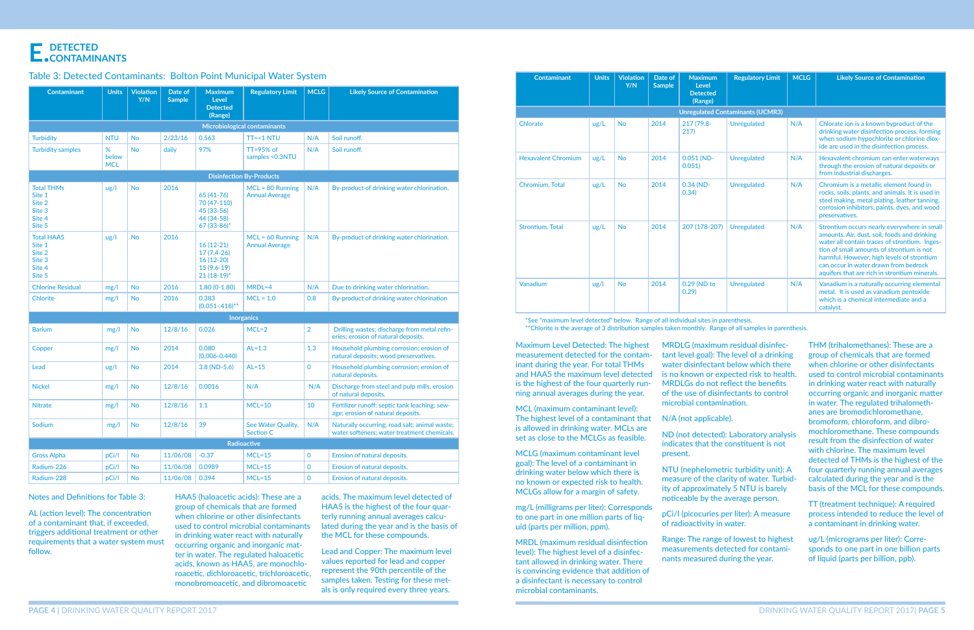#### Notes and Definitions for Table 3:

AL (action level): The concentration of a contaminant that, if exceeded, triggers additional treatment or other requirements that a water system must follow.

Maximum Level Detected: The highest measurement detected for the contaminant during the year. For total THMs and HAA5 the maximum level detected is the highest of the four quarterly running annual averages during the year.

MCL (maximum contaminant level): The highest level of a contaminant that is allowed in drinking water. MCLs are set as close to the MCLGs as feasible.

MCLG (maximum contaminant level goal): The level of a contaminant in drinking water below which there is no known or expected risk to health. MCLGs allow for a margin of safety.

mg/L (milligrams per liter): Corresponds to one part in one million parts of liquid (parts per million, ppm).

MRDL (maximum residual disinfection level): The highest level of a disinfectant allowed in drinking water. There is convincing evidence that addition of a disinfectant is necessary to control microbial contaminants.

\*See "maximum level detected" below. Range of all individual sites in parenthesis. \*\*Chlorite is the average of 3 distribution samples taken monthly. Range of all samples in parenthesis.

### **E. DETECTED**   $\blacksquare$ . CONTAMINANTS

#### Table 3: Detected Contaminants: Bolton Point Municipal Water System

| <b>Contaminant</b>                                                  | <b>Units</b>             | <b>Violation</b><br>Y/N | Date of<br><b>Sample</b> | <b>Maximum</b><br>Level<br><b>Detected</b>                                  | <b>Regulatory Limit</b>                     | <b>MCLG</b>    | <b>Likely Source of Contamination</b>                                                        |
|---------------------------------------------------------------------|--------------------------|-------------------------|--------------------------|-----------------------------------------------------------------------------|---------------------------------------------|----------------|----------------------------------------------------------------------------------------------|
|                                                                     |                          |                         |                          | (Range)                                                                     | Microbiological contaminants                |                |                                                                                              |
| <b>Turbidity</b>                                                    | <b>NTU</b>               | <b>No</b>               | 2/23/16                  | 0.563                                                                       | $TT = < 1 NTU$                              | N/A            | Soil runoff.                                                                                 |
| <b>Turbidity samples</b>                                            | %<br>below<br><b>MCL</b> | <b>No</b>               | daily                    | 97%                                                                         | $TT = 95%$ of<br>samples < 0.3NTU           | N/A            | Soil runoff.                                                                                 |
| <b>Disinfection By-Products</b>                                     |                          |                         |                          |                                                                             |                                             |                |                                                                                              |
| <b>Total THMs</b><br>Site 1<br>Site 2<br>Site 3<br>Site 4<br>Site 5 | $\frac{u}{g}$            | <b>No</b>               | 2016                     | 65 (41-76)<br>70 (47-110)<br>45 (33-56)<br>44 (34-58)<br>$67(33-86)$ *      | $MCL = 80$ Running<br><b>Annual Average</b> | N/A            | By-product of drinking water chlorination.                                                   |
| <b>Total HAA5</b><br>Site 1<br>Site 2<br>Site 3<br>Site 4<br>Site 5 | $\frac{u}{g}$            | <b>No</b>               | 2016                     | $16(12-21)$<br>$17(7.4-26)$<br>$16(12-20)$<br>$15(9.6-19)$<br>$21(18-19)^*$ | $MCL = 60$ Running<br><b>Annual Average</b> | N/A            | By-product of drinking water chlorination.                                                   |
| <b>Chlorine Residual</b>                                            | mg/l                     | <b>No</b>               | 2016                     | $1.80(0-1.80)$                                                              | MRDL=4                                      | N/A            | Due to drinking water chlorination.                                                          |
| <b>Chlorite</b>                                                     | mg/l                     | <b>No</b>               | 2016                     | 0.383<br>$(0.051-.418)$ **                                                  | $MCL = 1.0$                                 | 0.8            | By-product of drinking water chlorination                                                    |
|                                                                     |                          |                         |                          |                                                                             | <b>Inorganics</b>                           |                |                                                                                              |
| <b>Barium</b>                                                       | mg/l                     | <b>No</b>               | 12/8/16                  | 0.026                                                                       | $MCL=2$                                     | $\overline{2}$ | Drilling wastes; discharge from metal refin-<br>eries; erosion of natural deposits.          |
| Copper                                                              | mg/l                     | <b>No</b>               | 2014                     | 0.080<br>$(0.006 - 0.440)$                                                  | $AL=1.3$                                    | 1.3            | Household plumbing corrosion; erosion of<br>natural deposits; wood preservatives.            |
| Lead                                                                | $\frac{u}{g}$            | <b>No</b>               | 2014                     | $3.8(ND-5.6)$                                                               | $AL=15$                                     | $\overline{O}$ | Household plumbing corrosion; erosion of<br>natural deposits.                                |
| <b>Nickel</b>                                                       | mg/l                     | <b>No</b>               | 12/8/16                  | 0.0016                                                                      | N/A                                         | N/A            | Discharge from steel and pulp mills, erosion<br>of natural deposits.                         |
| <b>Nitrate</b>                                                      | mg/l                     | <b>No</b>               | 12/8/16                  | 1.1                                                                         | $MCL=10$                                    | 10             | Fertilizer runoff; septic tank leaching; sew-<br>age; erosion of natural deposits.           |
| Sodium                                                              | mg/l                     | <b>No</b>               | 12/8/16                  | 39                                                                          | See Water Quality,<br><b>Section C</b>      | N/A            | Naturally occurring; road salt; animal waste;<br>water softeners; water treatment chemicals. |
|                                                                     |                          |                         |                          |                                                                             | <b>Radioactive</b>                          |                |                                                                                              |
| <b>Gross Alpha</b>                                                  | pCi/l                    | <b>No</b>               | 11/06/08                 | $-0.37$                                                                     | $MCL = 15$                                  | $\mathbf{O}$   | Erosion of natural deposits.                                                                 |
| Radium-226                                                          | pCi/l                    | <b>No</b>               | 11/06/08                 | 0.0989                                                                      | $MCL=15$                                    | $\mathbf 0$    | Erosion of natural deposits.                                                                 |
| Radium-228                                                          | pCi/l                    | <b>No</b>               | 11/06/08                 | 0.394                                                                       | $MCL = 15$                                  | $\mathbf{O}$   | Erosion of natural deposits.                                                                 |

HAA5 (haloacetic acids): These are a group of chemicals that are formed when chlorine or other disinfectants used to control microbial contaminants in drinking water react with naturally occurring organic and inorganic matter in water. The regulated haloacetic acids, known as HAA5, are monochloroacetic, dichloroacetic, trichloroacetic, monobromoacetic, and dibromoacetic

acids. The maximum level detected of HAA5 is the highest of the four quarterly running annual averages calculated during the year and is the basis of the MCL for these compounds.

Lead and Copper: The maximum level values reported for lead and copper represent the 90th percentile of the samples taken. Testing for these metals is only required every three years.

| <b>Contaminant</b>                      | <b>Units</b>  | <b>Violation</b><br>Y/N | Date of<br><b>Sample</b> | <b>Maximum</b><br>Level<br><b>Detected</b><br>(Range) | <b>Regulatory Limit</b> | <b>MCLG</b> | <b>Likely Source of Contamination</b>                                                                                                                                                                                                                                                                                             |
|-----------------------------------------|---------------|-------------------------|--------------------------|-------------------------------------------------------|-------------------------|-------------|-----------------------------------------------------------------------------------------------------------------------------------------------------------------------------------------------------------------------------------------------------------------------------------------------------------------------------------|
| <b>Unregulated Contaminants (UCMR3)</b> |               |                         |                          |                                                       |                         |             |                                                                                                                                                                                                                                                                                                                                   |
| Chlorate                                | ug/L          | <b>No</b>               | 2014                     | 217 (79.8-<br>217)                                    | <b>Unregulated</b>      | N/A         | Chlorate ion is a known byproduct of the<br>drinking water disinfection process, forming<br>when sodium hypochlorite or chlorine diox-<br>ide are used in the disinfection process.                                                                                                                                               |
| <b>Hexavalent Chromium</b>              | ug/L          | <b>No</b>               | 2014                     | $0.051$ (ND-<br>0.051                                 | <b>Unregulated</b>      | N/A         | Hexavalent chromium can enter waterways<br>through the erosion of natural deposits or<br>from industrial discharges.                                                                                                                                                                                                              |
| Chromium, Total                         | ug/L          | <b>No</b>               | 2014                     | $0.34$ (ND-<br>0.34)                                  | <b>Unregulated</b>      | N/A         | Chromium is a metallic element found in<br>rocks, soils, plants, and animals. It is used in<br>steel making, metal plating, leather tanning,<br>corrosion inhibitors, paints, dyes, and wood<br>preservatives.                                                                                                                    |
| Strontium, Total                        | ug/L          | <b>No</b>               | 2014                     | 207 (178-207)                                         | <b>Unregulated</b>      | N/A         | Strontium occurs nearly everywhere in small<br>amounts. Air, dust, soil, foods and drinking<br>water all contain traces of strontium. Inges-<br>tion of small amounts of strontium is not<br>harmful. However, high levels of strontium<br>can occur in water drawn from bedrock<br>aquifers that are rich in strontium minerals. |
| Vanadium                                | $\frac{u}{g}$ | <b>No</b>               | 2014                     | 0.29 (ND to<br>0.29                                   | <b>Unregulated</b>      | N/A         | Vanadium is a naturally occurring elemental<br>metal. It is used as vanadium pentoxide<br>which is a chemical intermediate and a<br>catalyst.                                                                                                                                                                                     |

MRDLG (maximum residual disinfectant level goal): The level of a drinking water disinfectant below which there is no known or expected risk to health. MRDLGs do not reflect the benefits of the use of disinfectants to control microbial contamination.

N/A (not applicable).

ND (not detected): Laboratory analysis indicates that the constituent is not

present.

NTU (nephelometric turbidity unit): A measure of the clarity of water. Turbidity of approximately 5 NTU is barely noticeable by the average person.

pCi/I (picocuries per liter): A measure of radioactivity in water.

Range: The range of lowest to highest measurements detected for contaminants measured during the year.

THM (trihalomethanes): These are a group of chemicals that are formed when chlorine or other disinfectants used to control microbial contaminants in drinking water react with naturally occurring organic and inorganic matter in water. The regulated trihalomethanes are bromodichloromethane, bromoform, chloroform, and dibromochloromethane. These compounds result from the disinfection of water with chlorine. The maximum level detected of THMs is the highest of the four quarterly running annual averages calculated during the year and is the basis of the MCL for these compounds.

TT (treatment technique): A required process intended to reduce the level of a contaminant in drinking water.

ug/L (micrograms per liter): Corresponds to one part in one billion parts of liquid (parts per billion, ppb).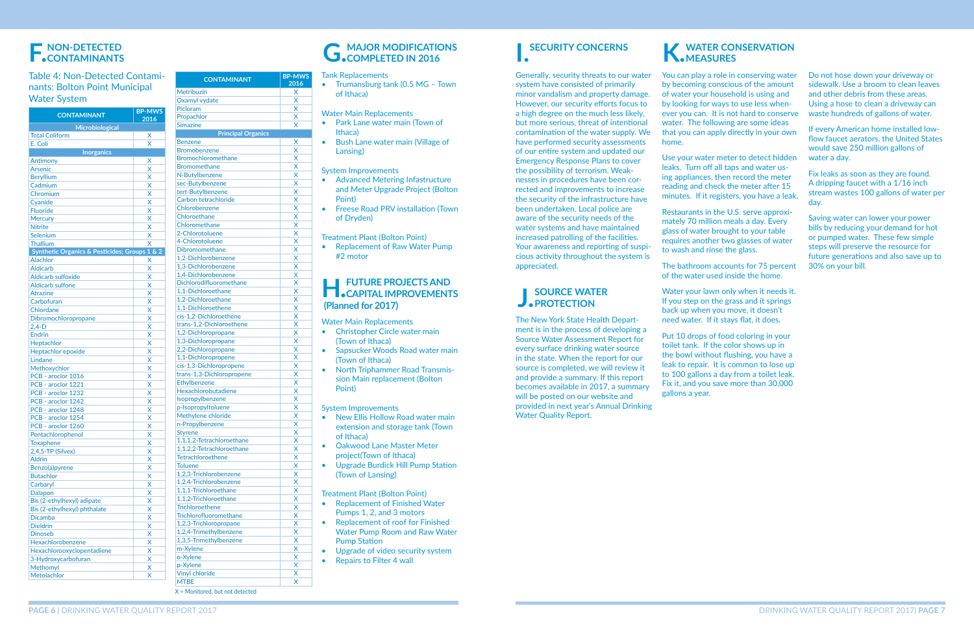# **F. NON-DETECTED CONTAMINANTS**

#### Table 4: Non-Detected Contaminants: Bolton Point Municipal Water System

| <b>CONTAMINANT</b>                            | <b>BP-MWS</b><br>2016 |  |  |
|-----------------------------------------------|-----------------------|--|--|
| Microbiological                               |                       |  |  |
| <b>Total Coliform</b>                         | X                     |  |  |
| E. Coli                                       | X                     |  |  |
| <b>Inorganics</b>                             |                       |  |  |
| Antimony                                      | X                     |  |  |
| <b>Arsenic</b>                                | X                     |  |  |
| <b>Beryllium</b>                              | X                     |  |  |
| Cadmium                                       | X                     |  |  |
| Chromium                                      | X                     |  |  |
| Cyanide                                       | X                     |  |  |
| <b>Fluoride</b>                               | X                     |  |  |
| <b>Mercury</b>                                | X                     |  |  |
| <b>Nitrite</b>                                | X                     |  |  |
| Selenium                                      | x                     |  |  |
| Thallium                                      | X                     |  |  |
| Synthetic Organics & Pesticides; Groups 1 & 2 |                       |  |  |
| <b>Alachlor</b>                               | Χ                     |  |  |
| <b>Aldicarb</b>                               | X                     |  |  |
| <b>Aldicarb sulfoxide</b>                     | X                     |  |  |
| <b>Aldicarb sulfone</b>                       | X                     |  |  |
| <b>Atrazine</b>                               | x                     |  |  |
| Carbofuran                                    | X                     |  |  |
| Chlordane                                     | X                     |  |  |
| Dibromochloropropane                          | X                     |  |  |
| $2,4-D$                                       | x                     |  |  |
| <b>Endrin</b>                                 | X                     |  |  |
| Heptachlor                                    | x                     |  |  |
| Heptachlor epoxide                            | X                     |  |  |
| Lindane                                       | x                     |  |  |
| Methoxychlor                                  | x                     |  |  |
| PCB - aroclor 1016                            | X                     |  |  |
| PCB - aroclor 1221                            | X                     |  |  |
| PCB - aroclor 1232                            | X                     |  |  |
| PCB - aroclor 1242                            | X                     |  |  |
| PCB - aroclor 1248                            | X                     |  |  |
| PCB - aroclor 1254                            | X                     |  |  |
| PCB - aroclor 1260                            | X                     |  |  |
| Pentachlorophenol                             | X                     |  |  |
| <b>Toxaphene</b>                              | X                     |  |  |
| 2,4,5-TP (Silvex)                             | X                     |  |  |
| <b>Aldrin</b>                                 | X                     |  |  |
| Benzo(a)pyrene                                | X                     |  |  |
| <b>Butachlor</b>                              | X                     |  |  |
| Carbaryl                                      | X                     |  |  |
| Dalapon                                       | X                     |  |  |
| Bis (2-ethylhexyl) adipate                    | X                     |  |  |
| Bis (2-ethylhexyl) phthalate                  | X                     |  |  |
| <b>Dicamba</b>                                | X                     |  |  |
| <b>Dieldrin</b>                               | X                     |  |  |
| <b>Dinoseb</b>                                | X                     |  |  |
| Hexachlorobenzene                             | X                     |  |  |
| Hexachlorooxyclopentadiene                    | X                     |  |  |
| 3-Hydroxycarbofuran                           | X                     |  |  |
| <b>Methomyl</b>                               | X                     |  |  |
| Metolachlor                                   | X                     |  |  |

#### **H.J. FUTURE PROJECTS AND CAPITAL IMPROVEMENTS (Planned for 2017)**

- New Ellis Hollow Road water main extension and storage tank (Town of Ithaca)
- Oakwood Lane Master Meter project(Town of Ithaca)
- Upgrade Burdick Hill Pump Station (Town of Lansing)

| <b>CONTAMINANT</b>            | <b>BP-MWS</b><br>2016   |
|-------------------------------|-------------------------|
| Metribuzin                    | X                       |
| Oxamyl vydate                 | X                       |
| Picloram                      | X                       |
| Propachlor                    | X                       |
| <b>Simazine</b>               | X                       |
| <b>Principal Organics</b>     |                         |
| <b>Benzene</b>                | Χ                       |
| <b>Bromobenzene</b>           | X                       |
| <b>Bromochloromethane</b>     | $\overline{\mathsf{x}}$ |
| <b>Bromomethane</b>           | X                       |
| N-Butylbenzene                | $\overline{\mathsf{x}}$ |
| sec-Butylbenzene              | X                       |
| tert-Butylbenzene             | X                       |
| Carbon tetrachloride          | X                       |
| Chlorobenzene                 | X                       |
| Chloroethane                  | $\overline{\mathsf{x}}$ |
| Chloromethane                 | $\overline{\mathsf{x}}$ |
| 2-Chlorotoluene               | X                       |
| 4-Chlorotoluene               | X                       |
| <b>Dibromomethane</b>         | $\overline{\mathsf{x}}$ |
| 1.2-Dichlorobenzene           | $\overline{\mathsf{x}}$ |
| 1,3-Dichlorobenzene           | X                       |
| 1,4-Dichlorobenzene           | X                       |
| Dichlorodifluoromethane       | $\overline{\mathsf{x}}$ |
| 1.1-Dichloroethane            | X                       |
| 1.2-Dichloroethane            | X                       |
| 1,1-Dichloroethene            | X                       |
| cis-1,2-Dichloroethene        | X                       |
| trans-1,2-Dichloroethene      | X                       |
| 1,2-Dichloropropane           | X                       |
| 1,3-Dichloropropane           | X                       |
| 2,2-Dichloropropane           | X                       |
| 1,1-Dichloropropene           | X                       |
| cis-1,3-Dichloropropene       | X                       |
| trans-1,3-Dichloropropene     | X                       |
| Ethylbenzene                  | X                       |
| Hexachlorobutadiene           | X                       |
| Isopropylbenzene              | X                       |
| p-Isopropyltoluene            | $\overline{\mathsf{x}}$ |
| Methylene chloride            | X                       |
| n-Propylbenzene               | X                       |
| Styrene                       | X                       |
| 1,1,1,2-Tetrachloroethane     | X                       |
| 1,1,2,2-Tetrachloroethane     | X                       |
| <b>Tetrachloroethene</b>      | X                       |
| <b>Toluene</b>                | X                       |
| 1,2,3-Trichlorobenzene        | $\overline{\mathsf{x}}$ |
| 1,2,4-Trichlorobenzene        | $\overline{\mathsf{x}}$ |
| 1,1,1-Trichloroethane         | X                       |
| 1,1,2-Trichloroethane         | X                       |
| <b>Trichloroethene</b>        | X                       |
| <b>Trichlorofluoromethane</b> | X                       |
| 1,2,3-Trichloropropane        | X                       |
| 1,2,4-Trimethylbenzene        | X                       |
| 1,3,5-Trimethylbenzene        | X                       |
| m-Xylene                      | X                       |
| o-Xylene                      | X                       |
| p-Xylene                      | X                       |
| <b>Vinyl chloride</b>         | X                       |
| <b>MTBE</b>                   | X                       |

### **K.WATER CONSERVATION MEASURES**

Use your water meter to detect hidden leaks. Turn off all taps and water using appliances, then record the meter reading and check the meter after 15 minutes. If it registers, you have a leak

Water your lawn only when it needs it. If you step on the grass and it springs back up when you move, it doesn't need water. If it stays flat, it does.

X = Monitored, but not detected

**G. MAJOR MODIFICATIONS COMPLETED IN 2016**

Tank Replacements

• Trumansburg tank (0.5 MG – Town of Ithaca)

Water Main Replacements

- Park Lane water main (Town of Ithaca)
- Bush Lane water main (Village of Lansing)

System Improvements

- Advanced Metering Infastructure and Meter Upgrade Project (Bolton Point)
- Freese Road PRV installation (Town of Dryden)

Treatment Plant (Bolton Point)

• Replacement of Raw Water Pump #2 motor

Water Main Replacements

- Christopher Circle water main (Town of Ithaca)
- Sapsucker Woods Road water main (Town of Ithaca)
- North Triphammer Road Transmission Main replacement (Bolton Point)

System Improvements

#### **J.SOURCE WATER PROTECTION**

Treatment Plant (Bolton Point)

- Replacement of Finished Water Pumps 1, 2, and 3 motors
- Replacement of roof for Finished Water Pump Room and Raw Water Pump Station
- Upgrade of video security system
- Repairs to Filter 4 wall

You can play a role in conserving water by becoming conscious of the amount of water your household is using and by looking for ways to use less whenever you can. It is not hard to conserve water. The following are some ideas that you can apply directly in your own home.

Restaurants in the U.S. serve approximately 70 million meals a day. Every glass of water brought to your table requires another two glasses of water to wash and rinse the glass.

The bathroom accounts for 75 percent of the water used inside the home.

Put 10 drops of food coloring in your toilet tank. If the color shows up in the bowl without flushing, you have a leak to repair. It is common to lose up to 100 gallons a day from a toilet leak. Fix it, and you save more than 30,000 gallons a year.

Do not hose down your driveway or sidewalk. Use a broom to clean leaves and other debris from these areas. Using a hose to clean a driveway can waste hundreds of gallons of water.

If every American home installed lowflow faucet aerators, the United States would save 250 million gallons of water a day.

Fix leaks as soon as they are found. A dripping faucet with a 1/16 inch stream wastes 100 gallons of water per day.

Saving water can lower your power bills by reducing your demand for hot or pumped water. These few simple steps will preserve the resource for future generations and also save up to 30% on your bill.

# **I.SECURITY CONCERNS**

Generally, security threats to our water system have consisted of primarily minor vandalism and property damage. However, our security efforts focus to a high degree on the much less likely, but more serious, threat of intentional contamination of the water supply. We have performed security assessments of our entire system and updated our Emergency Response Plans to cover the possibility of terrorism. Weaknesses in procedures have been corrected and improvements to increase the security of the infrastructure have been undertaken. Local police are aware of the security needs of the water systems and have maintained increased patrolling of the facilities. Your awareness and reporting of suspicious activity throughout the system is appreciated.

The New York State Health Department is in the process of developing a Source Water Assessment Report for every surface drinking water source in the state. When the report for our source is completed, we will review it and provide a summary. If this report becomes available in 2017, a summary will be posted on our website and provided in next year's Annual Drinking Water Quality Report.